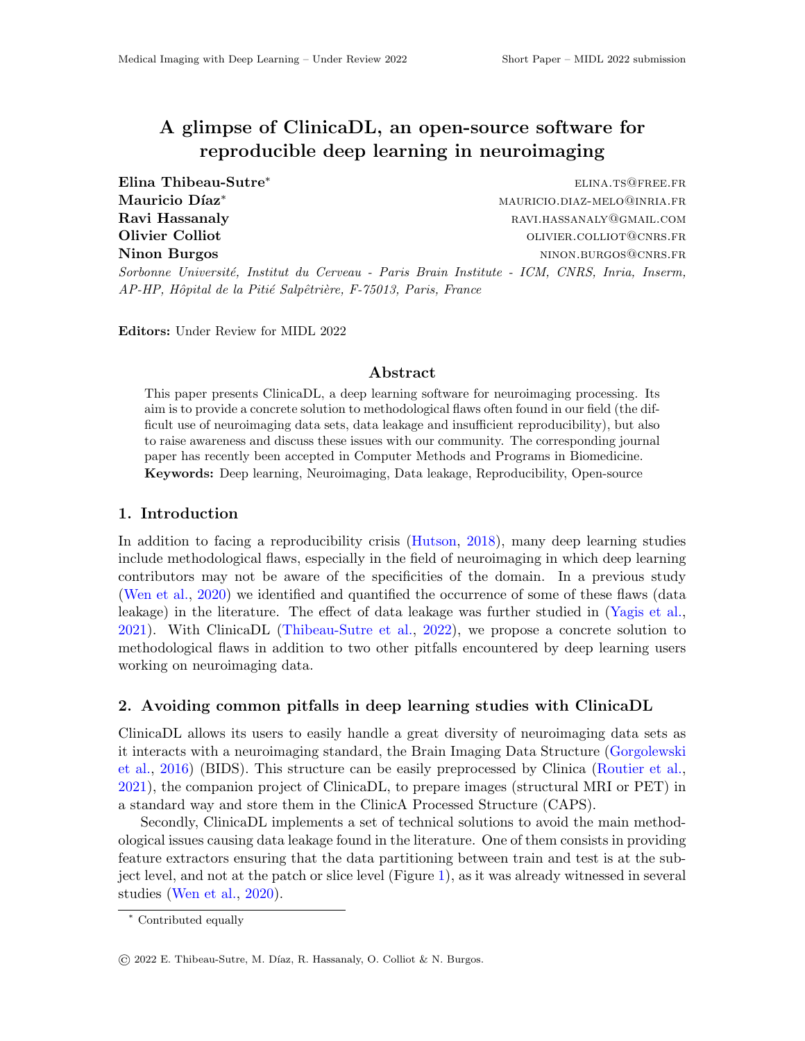# A glimpse of ClinicaDL, an open-source software for reproducible deep learning in neuroimaging

Elina Thibeau-Sutre<sup>∗</sup> elina.ts@free.fr Mauricio Díaz<sup>∗</sup> mauricio.diaz⊤melo@inria.fr Ravi Hassanaly **Ravid Hassanaly RAVI.HASSANALY @GMAIL.COM** Olivier Colliot **Olivier Colliot OLIVIER.COLLIOT CORRS.FR** Ninon Burgos **ning and the set of the set of the set of the set of the set of the set of the set of the set of the set of the set of the set of the set of the set of the set of the set of the set of the set of the set of t** Sorbonne Université, Institut du Cerveau - Paris Brain Institute - ICM, CNRS, Inria, Inserm, AP-HP, Hôpital de la Pitié Salpêtrière, F-75013, Paris, France

Editors: Under Review for MIDL 2022

#### Abstract

This paper presents ClinicaDL, a deep learning software for neuroimaging processing. Its aim is to provide a concrete solution to methodological flaws often found in our field (the difficult use of neuroimaging data sets, data leakage and insufficient reproducibility), but also to raise awareness and discuss these issues with our community. The corresponding journal paper has recently been accepted in Computer Methods and Programs in Biomedicine. Keywords: Deep learning, Neuroimaging, Data leakage, Reproducibility, Open-source

#### 1. Introduction

In addition to facing a reproducibility crisis [\(Hutson,](#page-2-0) [2018\)](#page-2-0), many deep learning studies include methodological flaws, especially in the field of neuroimaging in which deep learning contributors may not be aware of the specificities of the domain. In a previous study [\(Wen et al.,](#page-2-1) [2020\)](#page-2-1) we identified and quantified the occurrence of some of these flaws (data leakage) in the literature. The effect of data leakage was further studied in [\(Yagis et al.,](#page-2-2) [2021\)](#page-2-2). With ClinicaDL [\(Thibeau-Sutre et al.,](#page-2-3) [2022\)](#page-2-3), we propose a concrete solution to methodological flaws in addition to two other pitfalls encountered by deep learning users working on neuroimaging data.

### 2. Avoiding common pitfalls in deep learning studies with ClinicaDL

ClinicaDL allows its users to easily handle a great diversity of neuroimaging data sets as it interacts with a neuroimaging standard, the Brain Imaging Data Structure [\(Gorgolewski](#page-2-4) [et al.,](#page-2-4) [2016\)](#page-2-4) (BIDS). This structure can be easily preprocessed by Clinica [\(Routier et al.,](#page-2-5) [2021\)](#page-2-5), the companion project of ClinicaDL, to prepare images (structural MRI or PET) in a standard way and store them in the ClinicA Processed Structure (CAPS).

Secondly, ClinicaDL implements a set of technical solutions to avoid the main methodological issues causing data leakage found in the literature. One of them consists in providing feature extractors ensuring that the data partitioning between train and test is at the subject level, and not at the patch or slice level (Figure [1\)](#page-1-0), as it was already witnessed in several studies [\(Wen et al.,](#page-2-1) [2020\)](#page-2-1).

<sup>∗</sup> Contributed equally

<sup>©</sup> 2022 E. Thibeau-Sutre, M. D´ıaz, R. Hassanaly, O. Colliot & N. Burgos.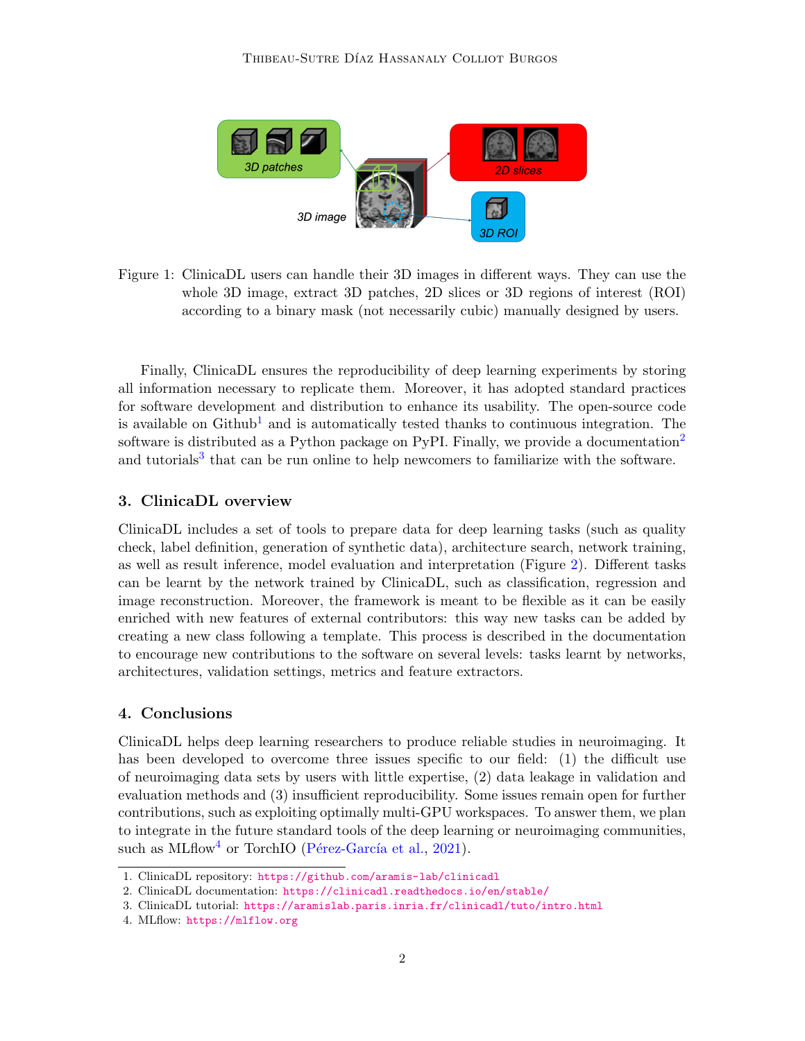

Figure 1: ClinicaDL users can handle their 3D images in different ways. They can use the whole 3D image, extract 3D patches, 2D slices or 3D regions of interest (ROI) according to a binary mask (not necessarily cubic) manually designed by users.

<span id="page-1-0"></span>Finally, ClinicaDL ensures the reproducibility of deep learning experiments by storing all information necessary to replicate them. Moreover, it has adopted standard practices for software development and distribution to enhance its usability. The open-source code is available on  $Github<sup>1</sup>$  $Github<sup>1</sup>$  $Github<sup>1</sup>$  and is automatically tested thanks to continuous integration. The software is distributed as a Python package on PyPI. Finally, we provide a documentation<sup>[2](#page-1-2)</sup> and tutorials<sup>[3](#page-1-3)</sup> that can be run online to help newcomers to familiarize with the software.

## 3. ClinicaDL overview

ClinicaDL includes a set of tools to prepare data for deep learning tasks (such as quality check, label definition, generation of synthetic data), architecture search, network training, as well as result inference, model evaluation and interpretation (Figure [2\)](#page-2-6). Different tasks can be learnt by the network trained by ClinicaDL, such as classification, regression and image reconstruction. Moreover, the framework is meant to be flexible as it can be easily enriched with new features of external contributors: this way new tasks can be added by creating a new class following a template. This process is described in the documentation to encourage new contributions to the software on several levels: tasks learnt by networks, architectures, validation settings, metrics and feature extractors.

### 4. Conclusions

ClinicaDL helps deep learning researchers to produce reliable studies in neuroimaging. It has been developed to overcome three issues specific to our field: (1) the difficult use of neuroimaging data sets by users with little expertise, (2) data leakage in validation and evaluation methods and (3) insufficient reproducibility. Some issues remain open for further contributions, such as exploiting optimally multi-GPU workspaces. To answer them, we plan to integrate in the future standard tools of the deep learning or neuroimaging communities, such as MLflow<sup>[4](#page-1-4)</sup> or TorchIO (Pérez-García et al., [2021\)](#page-2-7).

<span id="page-1-1"></span><sup>1.</sup> ClinicaDL repository: <https://github.com/aramis-lab/clinicadl>

<span id="page-1-2"></span><sup>2.</sup> ClinicaDL documentation: <https://clinicadl.readthedocs.io/en/stable/>

<span id="page-1-3"></span><sup>3.</sup> ClinicaDL tutorial: <https://aramislab.paris.inria.fr/clinicadl/tuto/intro.html>

<span id="page-1-4"></span><sup>4.</sup> MLflow: <https://mlflow.org>